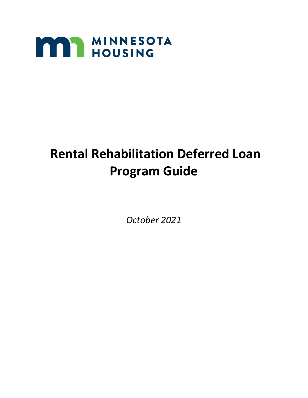

# **Rental Rehabilitation Deferred Loan Program Guide**

*October 2021*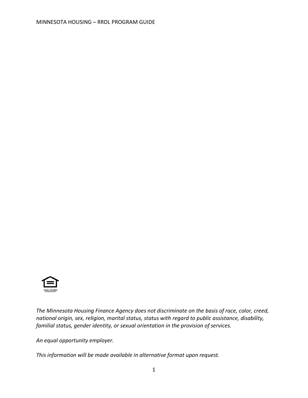

*The Minnesota Housing Finance Agency does not discriminate on the basis of race, color, creed, national origin, sex, religion, marital status, status with regard to public assistance, disability, familial status, gender identity, or sexual orientation in the provision of services.*

*An equal opportunity employer.*

*This information will be made available in alternative format upon request.*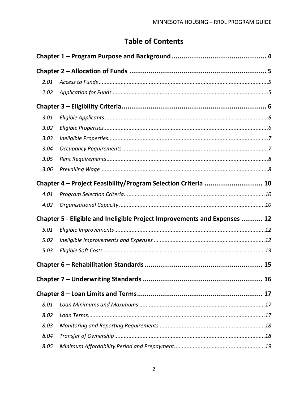# **Table of Contents**

| 2.01 |                                                                           |  |  |
|------|---------------------------------------------------------------------------|--|--|
| 2.02 |                                                                           |  |  |
|      |                                                                           |  |  |
| 3.01 |                                                                           |  |  |
| 3.02 |                                                                           |  |  |
| 3.03 |                                                                           |  |  |
| 3.04 |                                                                           |  |  |
| 3.05 |                                                                           |  |  |
| 3.06 |                                                                           |  |  |
|      | Chapter 4 - Project Feasibility/Program Selection Criteria  10            |  |  |
| 4.01 |                                                                           |  |  |
| 4.02 |                                                                           |  |  |
|      | Chapter 5 - Eligible and Ineligible Project Improvements and Expenses  12 |  |  |
| 5.01 |                                                                           |  |  |
| 5.02 |                                                                           |  |  |
| 5.03 |                                                                           |  |  |
|      |                                                                           |  |  |
|      |                                                                           |  |  |
|      |                                                                           |  |  |
| 8.01 |                                                                           |  |  |
| 8.02 |                                                                           |  |  |
| 8.03 |                                                                           |  |  |
| 8.04 |                                                                           |  |  |
| 8.05 |                                                                           |  |  |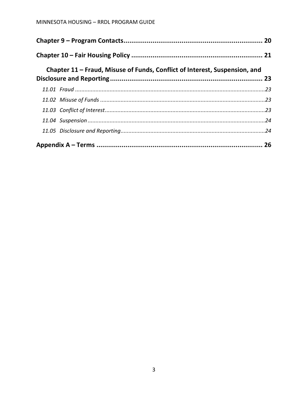|  | Chapter 11 – Fraud, Misuse of Funds, Conflict of Interest, Suspension, and |  |  |  |
|--|----------------------------------------------------------------------------|--|--|--|
|  |                                                                            |  |  |  |
|  |                                                                            |  |  |  |
|  |                                                                            |  |  |  |
|  |                                                                            |  |  |  |
|  |                                                                            |  |  |  |
|  |                                                                            |  |  |  |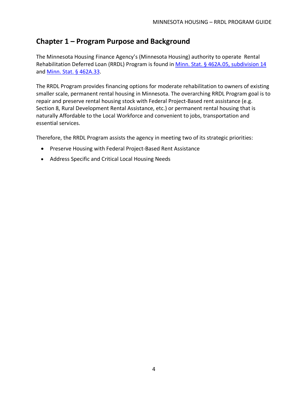## <span id="page-4-0"></span>**Chapter 1 – Program Purpose and Background**

The Minnesota Housing Finance Agency's (Minnesota Housing) authority to operate Rental Rehabilitation Deferred Loan (RRDL) Program is found in Minn. [Stat. § 462A.05, subdivision 14](https://www.revisor.mn.gov/statutes/cite/462A.05) and [Minn. Stat.](https://www.revisor.mn.gov/statutes/cite/462A.33) § 462A.33.

The RRDL Program provides financing options for moderate rehabilitation to owners of existing smaller scale, permanent rental housing in Minnesota. The overarching RRDL Program goal is to repair and preserve rental housing stock with Federal Project-Based rent assistance (e.g. Section 8, Rural Development Rental Assistance, etc.) or permanent rental housing that is naturally Affordable to the Local Workforce and convenient to jobs, transportation and essential services.

Therefore, the RRDL Program assists the agency in meeting two of its strategic priorities:

- Preserve Housing with Federal Project-Based Rent Assistance
- Address Specific and Critical Local Housing Needs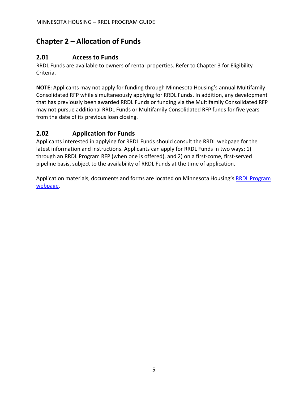# <span id="page-5-0"></span>**Chapter 2 – Allocation of Funds**

## <span id="page-5-1"></span>**2.01 Access to Funds**

RRDL Funds are available to owners of rental properties. Refer to Chapter 3 for Eligibility Criteria.

**NOTE:** Applicants may not apply for funding through Minnesota Housing's annual Multifamily Consolidated RFP while simultaneously applying for RRDL Funds. In addition, any development that has previously been awarded RRDL Funds or funding via the Multifamily Consolidated RFP may not pursue additional RRDL Funds or Multifamily Consolidated RFP funds for five years from the date of its previous loan closing.

## <span id="page-5-2"></span>**2.02 Application for Funds**

Applicants interested in applying for RRDL Funds should consult the RRDL webpage for the latest information and instructions. Applicants can apply for RRDL Funds in two ways: 1) through an RRDL Program RFP (when one is offered), and 2) on a first-come, first-served pipeline basis, subject to the availability of RRDL Funds at the time of application.

Application materials, documents and forms are located on Minnesota Housing's [RRDL Program](https://www.mnhousing.gov/sites/multifamily/rrdl) [webpage.](https://www.mnhousing.gov/sites/multifamily/rrdl)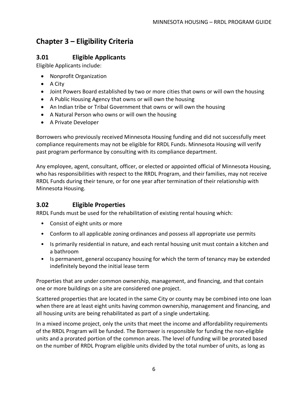# <span id="page-6-0"></span>**Chapter 3 – Eligibility Criteria**

## <span id="page-6-1"></span>**3.01 Eligible Applicants**

Eligible Applicants include:

- Nonprofit Organization
- A City
- Joint Powers Board established by two or more cities that owns or will own the housing
- A Public Housing Agency that owns or will own the housing
- An Indian tribe or Tribal Government that owns or will own the housing
- A Natural Person who owns or will own the housing
- A Private Developer

Borrowers who previously received Minnesota Housing funding and did not successfully meet compliance requirements may not be eligible for RRDL Funds. Minnesota Housing will verify past program performance by consulting with its compliance department.

Any employee, agent, consultant, officer, or elected or appointed official of Minnesota Housing, who has responsibilities with respect to the RRDL Program, and their families, may not receive RRDL Funds during their tenure, or for one year after termination of their relationship with Minnesota Housing.

## <span id="page-6-2"></span>**3.02 Eligible Properties**

RRDL Funds must be used for the rehabilitation of existing rental housing which:

- Consist of eight units or more
- Conform to all applicable zoning ordinances and possess all appropriate use permits
- Is primarily residential in nature, and each rental housing unit must contain a kitchen and a bathroom
- Is permanent, general occupancy housing for which the term of tenancy may be extended indefinitely beyond the initial lease term

Properties that are under common ownership, management, and financing, and that contain one or more buildings on a site are considered one project.

Scattered properties that are located in the same City or county may be combined into one loan when there are at least eight units having common ownership, management and financing, and all housing units are being rehabilitated as part of a single undertaking.

In a mixed income project, only the units that meet the income and affordability requirements of the RRDL Program will be funded. The Borrower is responsible for funding the non-eligible units and a prorated portion of the common areas. The level of funding will be prorated based on the number of RRDL Program eligible units divided by the total number of units, as long as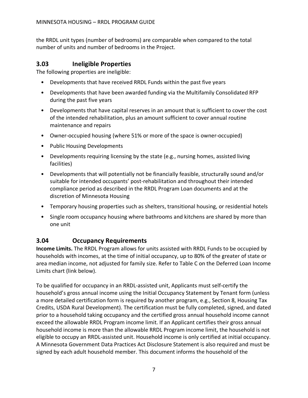the RRDL unit types (number of bedrooms) are comparable when compared to the total number of units and number of bedrooms in the Project.

## <span id="page-7-0"></span>**3.03 Ineligible Properties**

The following properties are ineligible:

- Developments that have received RRDL Funds within the past five years
- Developments that have been awarded funding via the Multifamily Consolidated RFP during the past five years
- Developments that have capital reserves in an amount that is sufficient to cover the cost of the intended rehabilitation, plus an amount sufficient to cover annual routine maintenance and repairs
- Owner-occupied housing (where 51% or more of the space is owner-occupied)
- Public Housing Developments
- Developments requiring licensing by the state (e.g., nursing homes, assisted living facilities)
- Developments that will potentially not be financially feasible, structurally sound and/or suitable for intended occupants' post-rehabilitation and throughout their intended compliance period as described in the RRDL Program Loan documents and at the discretion of Minnesota Housing
- Temporary housing properties such as shelters, transitional housing, or residential hotels
- Single room occupancy housing where bathrooms and kitchens are shared by more than one unit

## <span id="page-7-1"></span>**3.04 Occupancy Requirements**

**Income Limits.** The RRDL Program allows for units assisted with RRDL Funds to be occupied by households with incomes, at the time of initial occupancy, up to 80% of the greater of state or area median income, not adjusted for family size. Refer to Table C on the Deferred Loan Income Limits chart (link below).

To be qualified for occupancy in an RRDL-assisted unit, Applicants must self-certify the household's gross annual income using the Initial Occupancy Statement by Tenant form (unless a more detailed certification form is required by another program, e.g., Section 8, Housing Tax Credits, USDA Rural Development). The certification must be fully completed, signed, and dated prior to a household taking occupancy and the certified gross annual household income cannot exceed the allowable RRDL Program income limit. If an Applicant certifies their gross annual household income is more than the allowable RRDL Program income limit, the household is not eligible to occupy an RRDL-assisted unit. Household income is only certified at initial occupancy. A Minnesota Government Data Practices Act Disclosure Statement is also required and must be signed by each adult household member. This document informs the household of the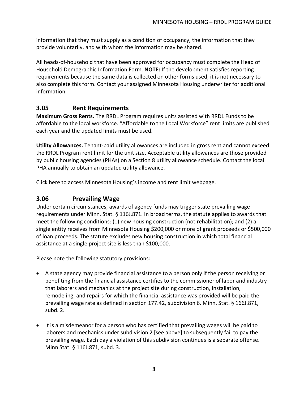information that they must supply as a condition of occupancy, the information that they provide voluntarily, and with whom the information may be shared.

All heads-of-household that have been approved for occupancy must complete the Head of Household Demographic Information Form. **NOTE:** If the development satisfies reporting requirements because the same data is collected on other forms used, it is not necessary to also complete this form. Contact your assigned Minnesota Housing underwriter for additional information.

## <span id="page-8-0"></span>**3.05 Rent Requirements**

**Maximum Gross Rents.** The RRDL Program requires units assisted with RRDL Funds to be affordable to the local workforce. "Affordable to the Local Workforce" rent limits are published each year and the updated limits must be used.

**Utility Allowances.** Tenant-paid utility allowances are included in gross rent and cannot exceed the RRDL Program rent limit for the unit size. Acceptable utility allowances are those provided by public housing agencies (PHAs) on a Section 8 utility allowance schedule. Contact the local PHA annually to obtain an updated utility allowance.

Click [here](https://www.mnhousing.gov/sites/Satellite?c=Page&cid=1362997094928&d=Touch&pagename=External%2FPage%2FEXTStandardLayout) to access Minnesota Housing's income and rent limit webpage.

## <span id="page-8-1"></span>**3.06 Prevailing Wage**

Under certain circumstances, awards of agency funds may trigger state prevailing wage requirements under Minn. Stat. § 116J.871. In broad terms, the statute applies to awards that meet the following conditions: (1) new housing construction (not rehabilitation); and (2) a single entity receives from Minnesota Housing \$200,000 or more of grant proceeds or \$500,000 of loan proceeds. The statute excludes new housing construction in which total financial assistance at a single project site is less than \$100,000.

Please note the following statutory provisions:

- A state agency may provide financial assistance to a person only if the person receiving or benefiting from the financial assistance certifies to the commissioner of labor and industry that laborers and mechanics at the project site during construction, installation, remodeling, and repairs for which the financial assistance was provided will be paid the prevailing wage rate as defined in section 177.42, subdivision 6. Minn. Stat. § 166J.871, subd. 2.
- It is a misdemeanor for a person who has certified that prevailing wages will be paid to laborers and mechanics under subdivision 2 [see above] to subsequently fail to pay the prevailing wage. Each day a violation of this subdivision continues is a separate offense. Minn Stat. § 116J.871, subd. 3.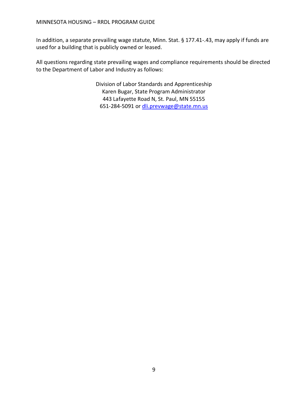In addition, a separate prevailing wage statute, Minn. Stat. § 177.41-.43, may apply if funds are used for a building that is publicly owned or leased.

All questions regarding state prevailing wages and compliance requirements should be directed to the Department of Labor and Industry as follows:

> Division of Labor Standards and Apprenticeship Karen Bugar, State Program Administrator 443 Lafayette Road N, St. Paul, MN 55155 651-284-5091 or [dli.prevwage@state.mn.us](mailto:dli.prevwage@state.mn.us)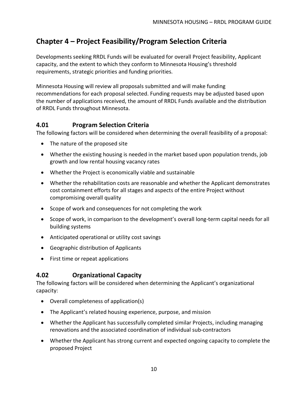## <span id="page-10-0"></span>**Chapter 4 – Project Feasibility/Program Selection Criteria**

Developments seeking RRDL Funds will be evaluated for overall Project feasibility, Applicant capacity, and the extent to which they conform to Minnesota Housing's threshold requirements, strategic priorities and funding priorities.

Minnesota Housing will review all proposals submitted and will make funding recommendations for each proposal selected. Funding requests may be adjusted based upon the number of applications received, the amount of RRDL Funds available and the distribution of RRDL Funds throughout Minnesota.

## <span id="page-10-1"></span>**4.01 Program Selection Criteria**

The following factors will be considered when determining the overall feasibility of a proposal:

- The nature of the proposed site
- Whether the existing housing is needed in the market based upon population trends, job growth and low rental housing vacancy rates
- Whether the Project is economically viable and sustainable
- Whether the rehabilitation costs are reasonable and whether the Applicant demonstrates cost containment efforts for all stages and aspects of the entire Project without compromising overall quality
- Scope of work and consequences for not completing the work
- Scope of work, in comparison to the development's overall long-term capital needs for all building systems
- Anticipated operational or utility cost savings
- Geographic distribution of Applicants
- First time or repeat applications

## <span id="page-10-2"></span>**4.02 Organizational Capacity**

The following factors will be considered when determining the Applicant's organizational capacity:

- Overall completeness of application(s)
- The Applicant's related housing experience, purpose, and mission
- Whether the Applicant has successfully completed similar Projects, including managing renovations and the associated coordination of individual sub-contractors
- Whether the Applicant has strong current and expected ongoing capacity to complete the proposed Project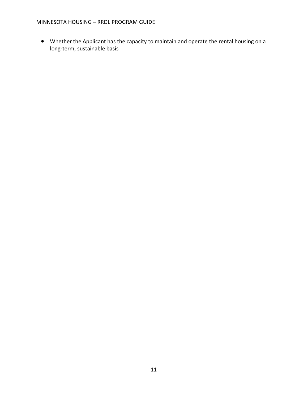• Whether the Applicant has the capacity to maintain and operate the rental housing on a long-term, sustainable basis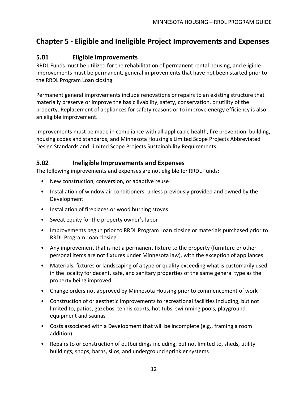## <span id="page-12-0"></span>**Chapter 5 - Eligible and Ineligible Project Improvements and Expenses**

## <span id="page-12-1"></span>**5.01 Eligible Improvements**

RRDL Funds must be utilized for the rehabilitation of permanent rental housing, and eligible improvements must be permanent, general improvements that have not been started prior to the RRDL Program Loan closing.

Permanent general improvements include renovations or repairs to an existing structure that materially preserve or improve the basic livability, safety, conservation, or utility of the property. Replacement of appliances for safety reasons or to improve energy efficiency is also an eligible improvement.

Improvements must be made in compliance with all applicable health, fire prevention, building, housing codes and standards, and Minnesota Housing's Limited Scope Projects Abbreviated Design Standards and Limited Scope Projects Sustainability Requirements.

## <span id="page-12-2"></span>**5.02 Ineligible Improvements and Expenses**

The following improvements and expenses are not eligible for RRDL Funds:

- New construction, conversion, or adaptive reuse
- Installation of window air conditioners, unless previously provided and owned by the Development
- Installation of fireplaces or wood burning stoves
- Sweat equity for the property owner's labor
- Improvements begun prior to RRDL Program Loan closing or materials purchased prior to RRDL Program Loan closing
- Any improvement that is not a permanent fixture to the property (furniture or other personal items are not fixtures under Minnesota law), with the exception of appliances
- Materials, fixtures or landscaping of a type or quality exceeding what is customarily used in the locality for decent, safe, and sanitary properties of the same general type as the property being improved
- Change orders not approved by Minnesota Housing prior to commencement of work
- Construction of or aesthetic improvements to recreational facilities including, but not limited to, patios, gazebos, tennis courts, hot tubs, swimming pools, playground equipment and saunas
- Costs associated with a Development that will be incomplete (e.g., framing a room addition)
- Repairs to or construction of outbuildings including, but not limited to, sheds, utility buildings, shops, barns, silos, and underground sprinkler systems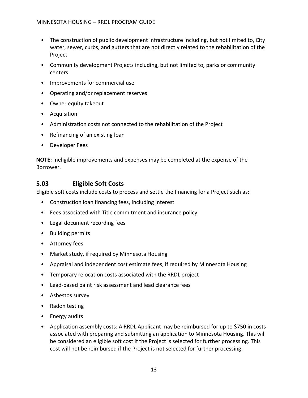- The construction of public development infrastructure including, but not limited to, City water, sewer, curbs, and gutters that are not directly related to the rehabilitation of the Project
- Community development Projects including, but not limited to, parks or community centers
- Improvements for commercial use
- Operating and/or replacement reserves
- Owner equity takeout
- Acquisition
- Administration costs not connected to the rehabilitation of the Project
- Refinancing of an existing loan
- Developer Fees

**NOTE:** Ineligible improvements and expenses may be completed at the expense of the Borrower.

## <span id="page-13-0"></span>**5.03 Eligible Soft Costs**

Eligible soft costs include costs to process and settle the financing for a Project such as:

- Construction loan financing fees, including interest
- Fees associated with Title commitment and insurance policy
- Legal document recording fees
- Building permits
- Attorney fees
- Market study, if required by Minnesota Housing
- Appraisal and independent cost estimate fees, if required by Minnesota Housing
- Temporary relocation costs associated with the RRDL project
- Lead-based paint risk assessment and lead clearance fees
- Asbestos survey
- Radon testing
- Energy audits
- Application assembly costs: A RRDL Applicant may be reimbursed for up to \$750 in costs associated with preparing and submitting an application to Minnesota Housing. This will be considered an eligible soft cost if the Project is selected for further processing. This cost will not be reimbursed if the Project is not selected for further processing.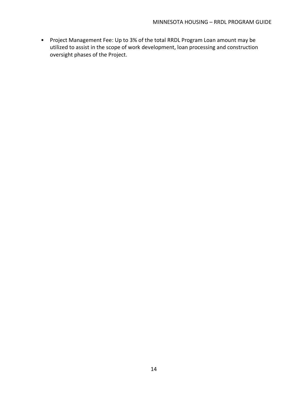• Project Management Fee: Up to 3% of the total RRDL Program Loan amount may be utilized to assist in the scope of work development, loan processing and construction oversight phases of the Project.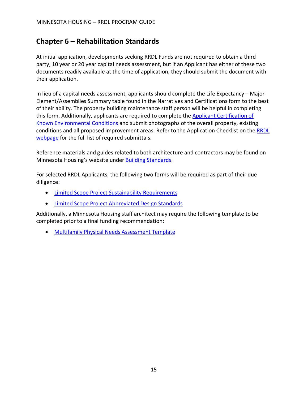## <span id="page-15-0"></span>**Chapter 6 – Rehabilitation Standards**

At initial application, developments seeking RRDL Funds are not required to obtain a third party, 10 year or 20 year capital needs assessment, but if an Applicant has either of these two documents readily available at the time of application, they should submit the document with their application.

In lieu of a capital needs assessment, applicants should complete the Life Expectancy – Major Element/Assemblies Summary table found in the Narratives and Certifications form to the best of their ability. The property building maintenance staff person will be helpful in completing this form. Additionally, applicants are required to complete the [Applicant Certification of](https://www.mnhousing.gov/download/MHFA_006922)  [Known Environmental Conditions](https://www.mnhousing.gov/download/MHFA_006922) and submit photographs of the overall property, existing conditions and all proposed improvement areas. Refer to the Application Checklist on the [RRDL](https://www.mnhousing.gov/sites/multifamily/rrdl)  [webpage](https://www.mnhousing.gov/sites/multifamily/rrdl) for the full list of required submittals.

Reference materials and guides related to both architecture and contractors may be found on Minnesota Housing's website under [Building Standards.](https://www.mnhousing.gov/sites/multifamily/buildingstandards)

For selected RRDL Applicants, the following two forms will be required as part of their due diligence:

- [Limited Scope Project Sustainability Requirements](https://www.mnhousing.gov/download/MHFA_013774)
- [Limited Scope Project Abbreviated Design Standards](https://www.mnhousing.gov/download/MHFA_013775)

Additionally, a Minnesota Housing staff architect may require the following template to be completed prior to a final funding recommendation:

• [Multifamily Physical Needs Assessment Template](https://www.mnhousing.gov/sites/multifamily/buildingstandards)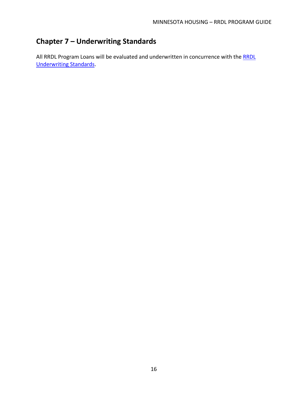# <span id="page-16-0"></span>**Chapter 7 – Underwriting Standards**

All [RRDL](https://www.mnhousing.gov/get/MHFA_218203) Program Loans will be evaluated and underwritten in concurrence with the RRDL [Underwriting Standards.](https://www.mnhousing.gov/get/MHFA_218203)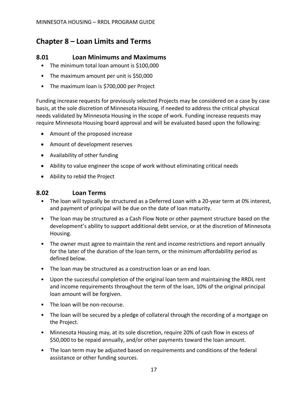## <span id="page-17-0"></span>**Chapter 8 – Loan Limits and Terms**

#### <span id="page-17-1"></span>**8.01 Loan Minimums and Maximums**

- The minimum total loan amount is \$100,000
- The maximum amount per unit is \$50,000
- The maximum loan is \$700,000 per Project

Funding increase requests for previously selected Projects may be considered on a case by case basis, at the sole discretion of Minnesota Housing, if needed to address the critical physical needs validated by Minnesota Housing in the scope of work. Funding increase requests may require Minnesota Housing board approval and will be evaluated based upon the following:

- Amount of the proposed increase
- Amount of development reserves
- Availability of other funding
- Ability to value engineer the scope of work without eliminating critical needs
- Ability to rebid the Project

#### <span id="page-17-2"></span>**8.02 Loan Terms**

- The loan will typically be structured as a Deferred Loan with a 20-year term at 0% interest, and payment of principal will be due on the date of loan maturity.
- The loan may be structured as a Cash Flow Note or other payment structure based on the development's ability to support additional debt service, or at the discretion of Minnesota Housing.
- The owner must agree to maintain the rent and income restrictions and report annually for the later of the duration of the loan term, or the minimum affordability period as defined below.
- The loan may be structured as a construction loan or an end loan.
- Upon the successful completion of the original loan term and maintaining the RRDL rent and income requirements throughout the term of the loan, 10% of the original principal loan amount will be forgiven.
- The loan will be non-recourse.
- The loan will be secured by a pledge of collateral through the recording of a mortgage on the Project.
- Minnesota Housing may, at its sole discretion, require 20% of cash flow in excess of \$50,000 to be repaid annually, and/or other payments toward the loan amount.
- The loan term may be adjusted based on requirements and conditions of the federal assistance or other funding sources.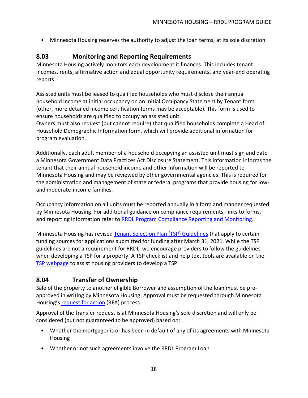• Minnesota Housing reserves the authority to adjust the loan terms, at its sole discretion.

## <span id="page-18-0"></span>**8.03 Monitoring and Reporting Requirements**

Minnesota Housing actively monitors each development it finances. This includes tenant incomes, rents, affirmative action and equal opportunity requirements, and year-end operating reports.

Assisted units must be leased to qualified households who must disclose their annual household income at initial occupancy on an Initial Occupancy Statement by Tenant form (other, more detailed income certification forms may be acceptable). This form is used to ensure households are qualified to occupy an assisted unit.

Owners must also request (but cannot require) that qualified households complete a Head of Household Demographic Information form, which will provide additional information for program evaluation.

Additionally, each adult member of a household occupying an assisted unit must sign and date a Minnesota Government Data Practices Act Disclosure Statement. This information informs the tenant that their annual household income and other information will be reported to Minnesota Housing and may be reviewed by other governmental agencies. This is required for the administration and management of state or federal programs that provide housing for lowand moderate-income families.

Occupancy information on all units must be reported annually in a form and manner requested by Minnesota Housing. For additional guidance on compliance requirements, links to forms, and reporting information refer to [RRDL Program Compliance Reporting and Monitoring.](https://www.mnhousing.gov/get/MHFA_1032046)

Minnesota Housing has revised [Tenant Selection Plan \(TSP\) Guidelines](https://www.mnhousing.gov/get/MHFA_1039899) that apply to certain funding sources for applications submitted for funding after March 31, 2021. While the TSP guidelines are not a requirement for RRDL, we encourage providers to follow the guidelines when developing a TSP for a property. A TSP checklist and help text tools are available on the [TSP webpage](https://www.mnhousing.gov/sites/multifamily/tenantselectionplan) to assist housing providers to develop a TSP.

## <span id="page-18-1"></span>**8.04 Transfer of Ownership**

Sale of the property to another eligible Borrower and assumption of the loan must be preapproved in writing by Minnesota Housing. Approval must be requested through Minnesota Housing's [request for action](https://www.mnhousing.gov/sites/multifamily/servicing) (RFA) process.

Approval of the transfer request is at Minnesota Housing's sole discretion and will only be considered (but not guaranteed to be approved) based on:

- Whether the mortgagor is or has been in default of any of its agreements with Minnesota Housing
- Whether or not such agreements involve the RRDL Program Loan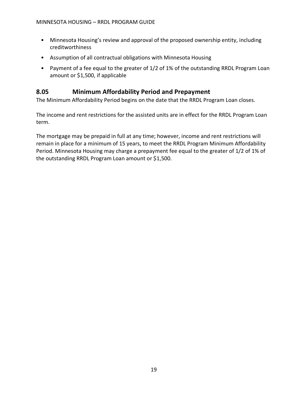- Minnesota Housing's review and approval of the proposed ownership entity, including creditworthiness
- Assumption of all contractual obligations with Minnesota Housing
- Payment of a fee equal to the greater of 1/2 of 1% of the outstanding RRDL Program Loan amount or \$1,500, if applicable

#### <span id="page-19-0"></span>**8.05 Minimum Affordability Period and Prepayment**

The Minimum Affordability Period begins on the date that the RRDL Program Loan closes.

The income and rent restrictions for the assisted units are in effect for the RRDL Program Loan term.

The mortgage may be prepaid in full at any time; however, income and rent restrictions will remain in place for a minimum of 15 years, to meet the RRDL Program Minimum Affordability Period. Minnesota Housing may charge a prepayment fee equal to the greater of 1/2 of 1% of the outstanding RRDL Program Loan amount or \$1,500.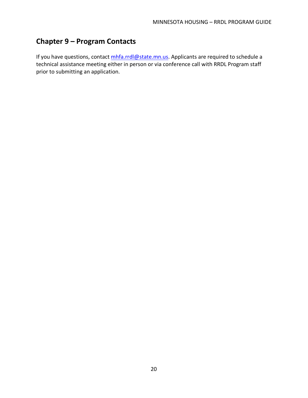# <span id="page-20-0"></span>**Chapter 9 – Program Contacts**

If you have questions, contact *mhfa.rrdl@state.mn.us*. Applicants are required to schedule a technical assistance meeting either in person or via conference call with RRDL Program staff prior to submitting an application.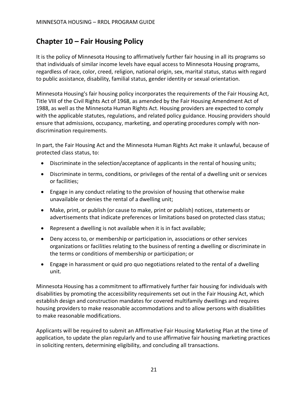## <span id="page-21-0"></span>**Chapter 10 – Fair Housing Policy**

It is the policy of Minnesota Housing to affirmatively further fair housing in all its programs so that individuals of similar income levels have equal access to Minnesota Housing programs, regardless of race, color, creed, religion, national origin, sex, marital status, status with regard to public assistance, disability, familial status, gender identity or sexual orientation.

Minnesota Housing's fair housing policy incorporates the requirements of the Fair Housing Act, Title VIII of the Civil Rights Act of 1968, as amended by the Fair Housing Amendment Act of 1988, as well as the Minnesota Human Rights Act. Housing providers are expected to comply with the applicable statutes, regulations, and related policy guidance. Housing providers should ensure that admissions, occupancy, marketing, and operating procedures comply with nondiscrimination requirements.

In part, the Fair Housing Act and the Minnesota Human Rights Act make it unlawful, because of protected class status, to:

- Discriminate in the selection/acceptance of applicants in the rental of housing units;
- Discriminate in terms, conditions, or privileges of the rental of a dwelling unit or services or facilities;
- Engage in any conduct relating to the provision of housing that otherwise make unavailable or denies the rental of a dwelling unit;
- Make, print, or publish (or cause to make, print or publish) notices, statements or advertisements that indicate preferences or limitations based on protected class status;
- Represent a dwelling is not available when it is in fact available;
- Deny access to, or membership or participation in, associations or other services organizations or facilities relating to the business of renting a dwelling or discriminate in the terms or conditions of membership or participation; or
- Engage in harassment or quid pro quo negotiations related to the rental of a dwelling unit.

Minnesota Housing has a commitment to affirmatively further fair housing for individuals with disabilities by promoting the accessibility requirements set out in the Fair Housing Act, which establish design and construction mandates for covered multifamily dwellings and requires housing providers to make reasonable accommodations and to allow persons with disabilities to make reasonable modifications.

Applicants will be required to submit an Affirmative Fair Housing Marketing Plan at the time of application, to update the plan regularly and to use affirmative fair housing marketing practices in soliciting renters, determining eligibility, and concluding all transactions.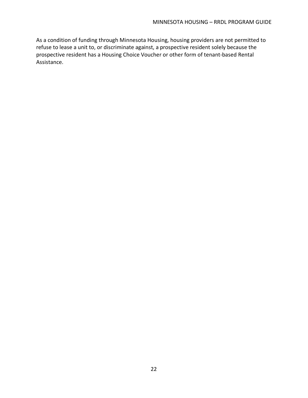As a condition of funding through Minnesota Housing, housing providers are not permitted to refuse to lease a unit to, or discriminate against, a prospective resident solely because the prospective resident has a Housing Choice Voucher or other form of tenant-based Rental Assistance.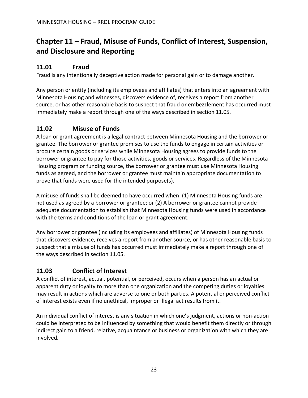# <span id="page-23-0"></span>**Chapter 11 – Fraud, Misuse of Funds, Conflict of Interest, Suspension, and Disclosure and Reporting**

## <span id="page-23-1"></span>**11.01 Fraud**

Fraud is any intentionally deceptive action made for personal gain or to damage another.

Any person or entity (including its employees and affiliates) that enters into an agreement with Minnesota Housing and witnesses, discovers evidence of, receives a report from another source, or has other reasonable basis to suspect that fraud or embezzlement has occurred must immediately make a report through one of the ways described in section 11.05.

## <span id="page-23-2"></span>**11.02 Misuse of Funds**

A loan or grant agreement is a legal contract between Minnesota Housing and the borrower or grantee. The borrower or grantee promises to use the funds to engage in certain activities or procure certain goods or services while Minnesota Housing agrees to provide funds to the borrower or grantee to pay for those activities, goods or services. Regardless of the Minnesota Housing program or funding source, the borrower or grantee must use Minnesota Housing funds as agreed, and the borrower or grantee must maintain appropriate documentation to prove that funds were used for the intended purpose(s).

A misuse of funds shall be deemed to have occurred when: (1) Minnesota Housing funds are not used as agreed by a borrower or grantee; or (2) A borrower or grantee cannot provide adequate documentation to establish that Minnesota Housing funds were used in accordance with the terms and conditions of the loan or grant agreement.

Any borrower or grantee (including its employees and affiliates) of Minnesota Housing funds that discovers evidence, receives a report from another source, or has other reasonable basis to suspect that a misuse of funds has occurred must immediately make a report through one of the ways described in section 11.05.

## <span id="page-23-3"></span>**11.03 Conflict of Interest**

A conflict of interest, actual, potential, or perceived, occurs when a person has an actual or apparent duty or loyalty to more than one organization and the competing duties or loyalties may result in actions which are adverse to one or both parties. A potential or perceived conflict of interest exists even if no unethical, improper or illegal act results from it.

An individual conflict of interest is any situation in which one's judgment, actions or non-action could be interpreted to be influenced by something that would benefit them directly or through indirect gain to a friend, relative, acquaintance or business or organization with which they are involved.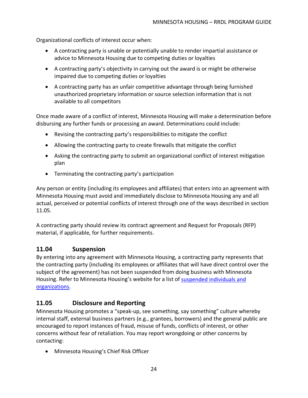Organizational conflicts of interest occur when:

- A contracting party is unable or potentially unable to render impartial assistance or advice to Minnesota Housing due to competing duties or loyalties
- A contracting party's objectivity in carrying out the award is or might be otherwise impaired due to competing duties or loyalties
- A contracting party has an unfair competitive advantage through being furnished unauthorized proprietary information or source selection information that is not available to all competitors

Once made aware of a conflict of interest, Minnesota Housing will make a determination before disbursing any further funds or processing an award. Determinations could include:

- Revising the contracting party's responsibilities to mitigate the conflict
- Allowing the contracting party to create firewalls that mitigate the conflict
- Asking the contracting party to submit an organizational conflict of interest mitigation plan
- Terminating the contracting party's participation

Any person or entity (including its employees and affiliates) that enters into an agreement with Minnesota Housing must avoid and immediately disclose to Minnesota Housing any and all actual, perceived or potential conflicts of interest through one of the ways described in section 11.05.

A contracting party should review its contract agreement and Request for Proposals (RFP) material, if applicable, for further requirements.

## <span id="page-24-0"></span>**11.04 Suspension**

By entering into any agreement with Minnesota Housing, a contracting party represents that the contracting party (including its employees or affiliates that will have direct control over the subject of the agreement) has not been suspended from doing business with Minnesota Housing. Refer to Minnesota Housing's website for a list of [suspended individuals and](https://www.mnhousing.gov/sites/np/suspensions)  [organizations.](https://www.mnhousing.gov/sites/np/suspensions)

## <span id="page-24-1"></span>**11.05 Disclosure and Reporting**

Minnesota Housing promotes a "speak-up, see something, say something" culture whereby internal staff, external business partners (e.g., grantees, borrowers) and the general public are encouraged to report instances of fraud, misuse of funds, conflicts of interest, or other concerns without fear of retaliation. You may report wrongdoing or other concerns by contacting:

• Minnesota Housing's Chief Risk Officer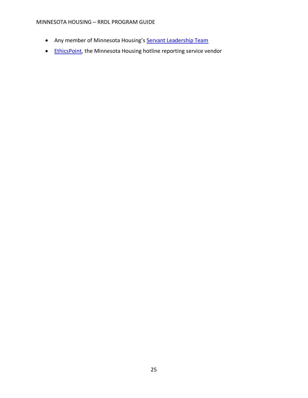#### MINNESOTA HOUSING – RRDL PROGRAM GUIDE

- Any member of Minnesota Housing's [Servant Leadership Team](https://www.mnhousing.gov/sites/np/leadership)
- [EthicsPoint,](https://secure.ethicspoint.com/domain/media/en/gui/30639/index.html) the Minnesota Housing hotline reporting service vendor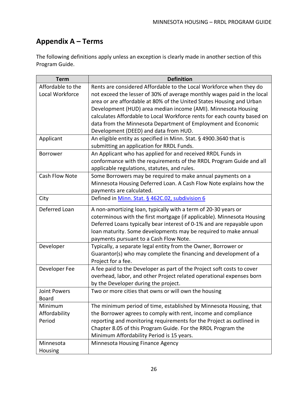# <span id="page-26-0"></span>**Appendix A – Terms**

The following definitions apply unless an exception is clearly made in another section of this Program Guide.

| <b>Term</b>           | <b>Definition</b>                                                       |
|-----------------------|-------------------------------------------------------------------------|
| Affordable to the     | Rents are considered Affordable to the Local Workforce when they do     |
| Local Workforce       | not exceed the lesser of 30% of average monthly wages paid in the local |
|                       | area or are affordable at 80% of the United States Housing and Urban    |
|                       | Development (HUD) area median income (AMI). Minnesota Housing           |
|                       | calculates Affordable to Local Workforce rents for each county based on |
|                       | data from the Minnesota Department of Employment and Economic           |
|                       | Development (DEED) and data from HUD.                                   |
| Applicant             | An eligible entity as specified in Minn. Stat. § 4900.3640 that is      |
|                       | submitting an application for RRDL Funds.                               |
| <b>Borrower</b>       | An Applicant who has applied for and received RRDL Funds in             |
|                       | conformance with the requirements of the RRDL Program Guide and all     |
|                       | applicable regulations, statutes, and rules.                            |
| <b>Cash Flow Note</b> | Some Borrowers may be required to make annual payments on a             |
|                       | Minnesota Housing Deferred Loan. A Cash Flow Note explains how the      |
|                       | payments are calculated.                                                |
| City                  | Defined in Minn. Stat. § 462C.02, subdivision 6                         |
| Deferred Loan         | A non-amortizing loan, typically with a term of 20-30 years or          |
|                       | coterminous with the first mortgage (if applicable). Minnesota Housing  |
|                       | Deferred Loans typically bear interest of 0-1% and are repayable upon   |
|                       | loan maturity. Some developments may be required to make annual         |
|                       | payments pursuant to a Cash Flow Note.                                  |
| Developer             | Typically, a separate legal entity from the Owner, Borrower or          |
|                       | Guarantor(s) who may complete the financing and development of a        |
|                       | Project for a fee.                                                      |
| Developer Fee         | A fee paid to the Developer as part of the Project soft costs to cover  |
|                       | overhead, labor, and other Project related operational expenses born    |
|                       | by the Developer during the project.                                    |
| <b>Joint Powers</b>   | Two or more cities that owns or will own the housing                    |
| Board                 |                                                                         |
| Minimum               | The minimum period of time, established by Minnesota Housing, that      |
| Affordability         | the Borrower agrees to comply with rent, income and compliance          |
| Period                | reporting and monitoring requirements for the Project as outlined in    |
|                       | Chapter 8.05 of this Program Guide. For the RRDL Program the            |
|                       | Minimum Affordability Period is 15 years.                               |
| Minnesota             | Minnesota Housing Finance Agency                                        |
| Housing               |                                                                         |